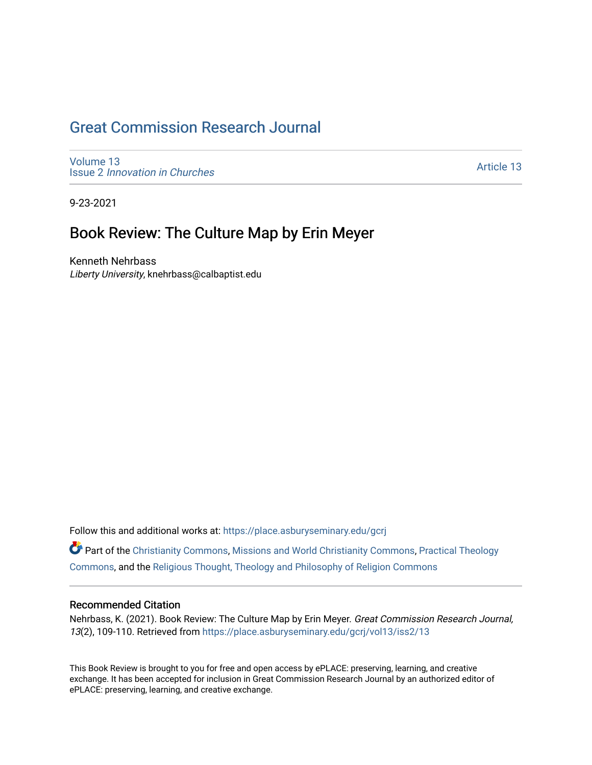## [Great Commission Research Journal](https://place.asburyseminary.edu/gcrj)

[Volume 13](https://place.asburyseminary.edu/gcrj/vol13) Issue 2 [Innovation in Churches](https://place.asburyseminary.edu/gcrj/vol13/iss2)

[Article 13](https://place.asburyseminary.edu/gcrj/vol13/iss2/13) 

9-23-2021

### Book Review: The Culture Map by Erin Meyer

Kenneth Nehrbass Liberty University, knehrbass@calbaptist.edu

Follow this and additional works at: [https://place.asburyseminary.edu/gcrj](https://place.asburyseminary.edu/gcrj?utm_source=place.asburyseminary.edu%2Fgcrj%2Fvol13%2Fiss2%2F13&utm_medium=PDF&utm_campaign=PDFCoverPages) 

Part of the [Christianity Commons,](http://network.bepress.com/hgg/discipline/1181?utm_source=place.asburyseminary.edu%2Fgcrj%2Fvol13%2Fiss2%2F13&utm_medium=PDF&utm_campaign=PDFCoverPages) [Missions and World Christianity Commons](http://network.bepress.com/hgg/discipline/1187?utm_source=place.asburyseminary.edu%2Fgcrj%2Fvol13%2Fiss2%2F13&utm_medium=PDF&utm_campaign=PDFCoverPages), [Practical Theology](http://network.bepress.com/hgg/discipline/1186?utm_source=place.asburyseminary.edu%2Fgcrj%2Fvol13%2Fiss2%2F13&utm_medium=PDF&utm_campaign=PDFCoverPages)  [Commons](http://network.bepress.com/hgg/discipline/1186?utm_source=place.asburyseminary.edu%2Fgcrj%2Fvol13%2Fiss2%2F13&utm_medium=PDF&utm_campaign=PDFCoverPages), and the [Religious Thought, Theology and Philosophy of Religion Commons](http://network.bepress.com/hgg/discipline/544?utm_source=place.asburyseminary.edu%2Fgcrj%2Fvol13%2Fiss2%2F13&utm_medium=PDF&utm_campaign=PDFCoverPages) 

#### Recommended Citation

Nehrbass, K. (2021). Book Review: The Culture Map by Erin Meyer. Great Commission Research Journal, 13(2), 109-110. Retrieved from [https://place.asburyseminary.edu/gcrj/vol13/iss2/13](https://place.asburyseminary.edu/gcrj/vol13/iss2/13?utm_source=place.asburyseminary.edu%2Fgcrj%2Fvol13%2Fiss2%2F13&utm_medium=PDF&utm_campaign=PDFCoverPages) 

This Book Review is brought to you for free and open access by ePLACE: preserving, learning, and creative exchange. It has been accepted for inclusion in Great Commission Research Journal by an authorized editor of ePLACE: preserving, learning, and creative exchange.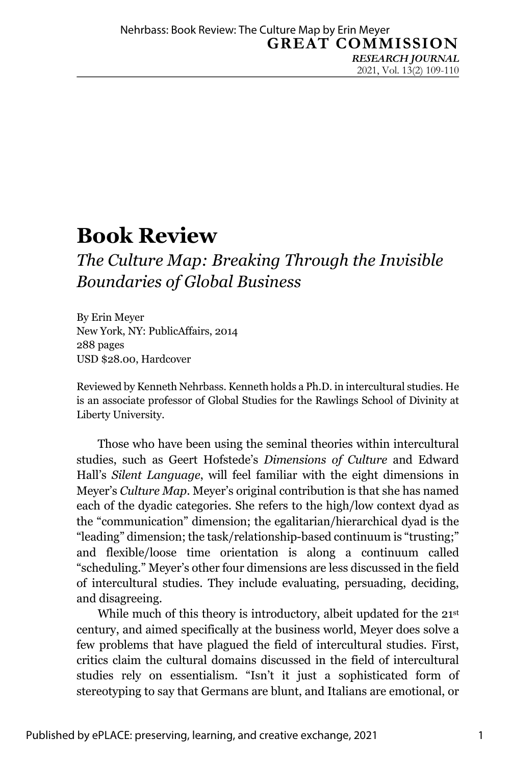# **Book Review**

## *The Culture Map: Breaking Through the Invisible Boundaries of Global Business*

By Erin Meyer New York, NY: PublicAffairs, 2014 288 pages USD \$28.00, Hardcover

Reviewed by Kenneth Nehrbass. Kenneth holds a Ph.D. in intercultural studies. He is an associate professor of Global Studies for the Rawlings School of Divinity at Liberty University.

Those who have been using the seminal theories within intercultural studies, such as Geert Hofstede's *Dimensions of Culture* and Edward Hall's *Silent Language*, will feel familiar with the eight dimensions in Meyer's *Culture Map*. Meyer's original contribution is that she has named each of the dyadic categories. She refers to the high/low context dyad as the "communication" dimension; the egalitarian/hierarchical dyad is the "leading" dimension; the task/relationship-based continuum is "trusting;" and flexible/loose time orientation is along a continuum called "scheduling." Meyer's other four dimensions are less discussed in the field of intercultural studies. They include evaluating, persuading, deciding, and disagreeing.

While much of this theory is introductory, albeit updated for the 21<sup>st</sup> century, and aimed specifically at the business world, Meyer does solve a few problems that have plagued the field of intercultural studies. First, critics claim the cultural domains discussed in the field of intercultural studies rely on essentialism. "Isn't it just a sophisticated form of stereotyping to say that Germans are blunt, and Italians are emotional, or